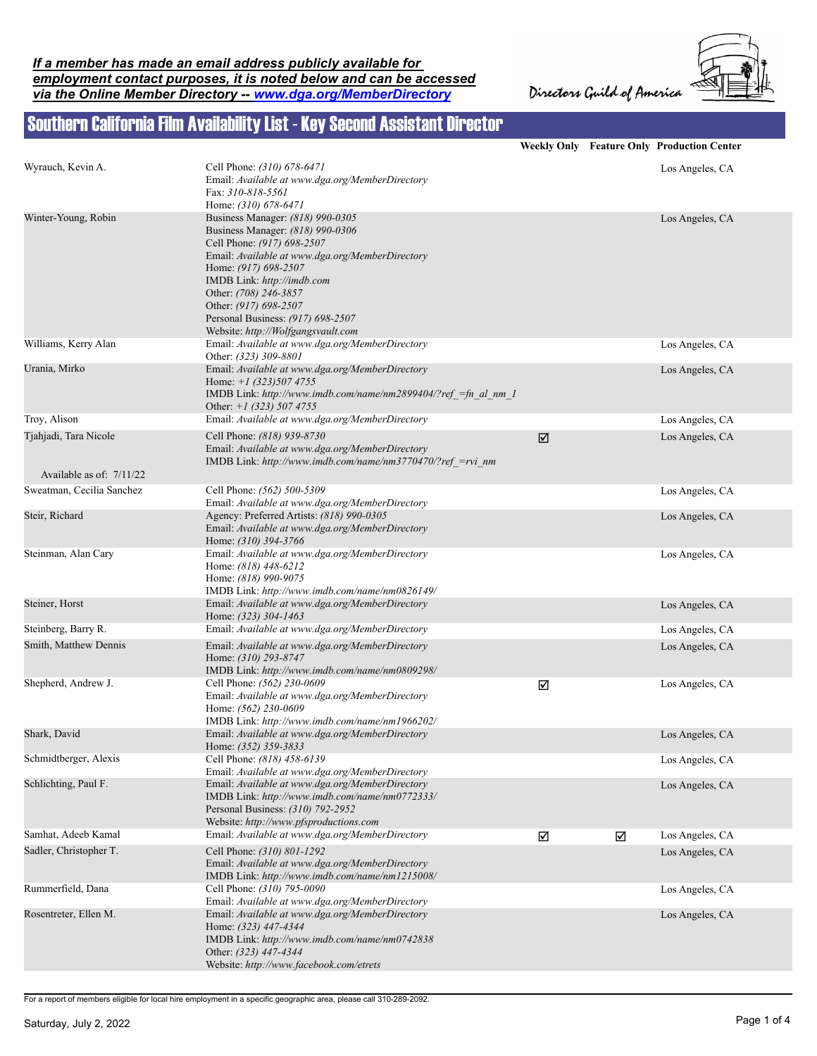



## Southern California Film Availability List - Key Second Assistant Director

|                           |                                                                                                                                                                                                                                                                                                                                          |   |   | <b>Weekly Only Feature Only Production Center</b> |
|---------------------------|------------------------------------------------------------------------------------------------------------------------------------------------------------------------------------------------------------------------------------------------------------------------------------------------------------------------------------------|---|---|---------------------------------------------------|
| Wyrauch, Kevin A.         | Cell Phone: (310) 678-6471<br>Email: Available at www.dga.org/MemberDirectory<br>Fax: 310-818-5561<br>Home: (310) 678-6471                                                                                                                                                                                                               |   |   | Los Angeles, CA                                   |
| Winter-Young, Robin       | Business Manager: (818) 990-0305<br>Business Manager: (818) 990-0306<br>Cell Phone: (917) 698-2507<br>Email: Available at www.dga.org/MemberDirectory<br>Home: (917) 698-2507<br>IMDB Link: http://imdb.com<br>Other: (708) 246-3857<br>Other: (917) 698-2507<br>Personal Business: (917) 698-2507<br>Website: http://Wolfgangsvault.com |   |   | Los Angeles, CA                                   |
| Williams, Kerry Alan      | Email: Available at www.dga.org/MemberDirectory<br>Other: (323) 309-8801                                                                                                                                                                                                                                                                 |   |   | Los Angeles, CA                                   |
| Urania, Mirko             | Email: Available at www.dga.org/MemberDirectory<br>Home: $+1$ (323)507 4755<br>IMDB Link: http://www.imdb.com/name/nm2899404/?ref =fn al nm 1<br>Other: $+1$ (323) 507 4755                                                                                                                                                              |   |   | Los Angeles, CA                                   |
| Troy, Alison              | Email: Available at www.dga.org/MemberDirectory                                                                                                                                                                                                                                                                                          |   |   | Los Angeles, CA                                   |
| Tjahjadi, Tara Nicole     | Cell Phone: (818) 939-8730<br>Email: Available at www.dga.org/MemberDirectory<br>IMDB Link: http://www.imdb.com/name/nm3770470/?ref =rvi nm                                                                                                                                                                                              | ☑ |   | Los Angeles, CA                                   |
| Available as of: 7/11/22  |                                                                                                                                                                                                                                                                                                                                          |   |   |                                                   |
| Sweatman, Cecilia Sanchez | Cell Phone: (562) 500-5309<br>Email: Available at www.dga.org/MemberDirectory                                                                                                                                                                                                                                                            |   |   | Los Angeles, CA                                   |
| Steir, Richard            | Agency: Preferred Artists: (818) 990-0305<br>Email: Available at www.dga.org/MemberDirectory<br>Home: (310) 394-3766                                                                                                                                                                                                                     |   |   | Los Angeles, CA                                   |
| Steinman, Alan Cary       | Email: Available at www.dga.org/MemberDirectory<br>Home: (818) 448-6212<br>Home: (818) 990-9075<br>IMDB Link: http://www.imdb.com/name/nm0826149/                                                                                                                                                                                        |   |   | Los Angeles, CA                                   |
| Steiner, Horst            | Email: Available at www.dga.org/MemberDirectory<br>Home: (323) 304-1463                                                                                                                                                                                                                                                                  |   |   | Los Angeles, CA                                   |
| Steinberg, Barry R.       | Email: Available at www.dga.org/MemberDirectory                                                                                                                                                                                                                                                                                          |   |   | Los Angeles, CA                                   |
| Smith, Matthew Dennis     | Email: Available at www.dga.org/MemberDirectory<br>Home: (310) 293-8747<br>IMDB Link: http://www.imdb.com/name/nm0809298/                                                                                                                                                                                                                |   |   | Los Angeles, CA                                   |
| Shepherd, Andrew J.       | Cell Phone: (562) 230-0609<br>Email: Available at www.dga.org/MemberDirectory<br>Home: (562) 230-0609<br>IMDB Link: http://www.imdb.com/name/nm1966202/                                                                                                                                                                                  | ☑ |   | Los Angeles, CA                                   |
| Shark, David              | Email: Available at www.dga.org/MemberDirectory<br>Home: (352) 359-3833                                                                                                                                                                                                                                                                  |   |   | Los Angeles, CA                                   |
| Schmidtberger, Alexis     | Cell Phone: (818) 458-6139<br>Email: Available at www.dga.org/MemberDirectory                                                                                                                                                                                                                                                            |   |   | Los Angeles, CA                                   |
| Schlichting, Paul F.      | Email: Available at www.dga.org/MemberDirectory<br>IMDB Link: http://www.imdb.com/name/nm0772333/<br>Personal Business: (310) 792-2952<br>Website: http://www.pfsproductions.com                                                                                                                                                         |   |   | Los Angeles, CA                                   |
| Samhat, Adeeb Kamal       | Email: Available at www.dga.org/MemberDirectory                                                                                                                                                                                                                                                                                          | ☑ | ☑ | Los Angeles, CA                                   |
| Sadler, Christopher T.    | Cell Phone: (310) 801-1292<br>Email: Available at www.dga.org/MemberDirectory<br>IMDB Link: http://www.imdb.com/name/nm1215008/                                                                                                                                                                                                          |   |   | Los Angeles, CA                                   |
| Rummerfield, Dana         | Cell Phone: (310) 795-0090<br>Email: Available at www.dga.org/MemberDirectory                                                                                                                                                                                                                                                            |   |   | Los Angeles, CA                                   |
| Rosentreter, Ellen M.     | Email: Available at www.dga.org/MemberDirectory<br>Home: (323) 447-4344<br>IMDB Link: http://www.imdb.com/name/nm0742838<br>Other: (323) 447-4344<br>Website: http://www.facebook.com/etrets                                                                                                                                             |   |   | Los Angeles, CA                                   |

For a report of members eligible for local hire employment in a specific geographic area, please call 310-289-2092.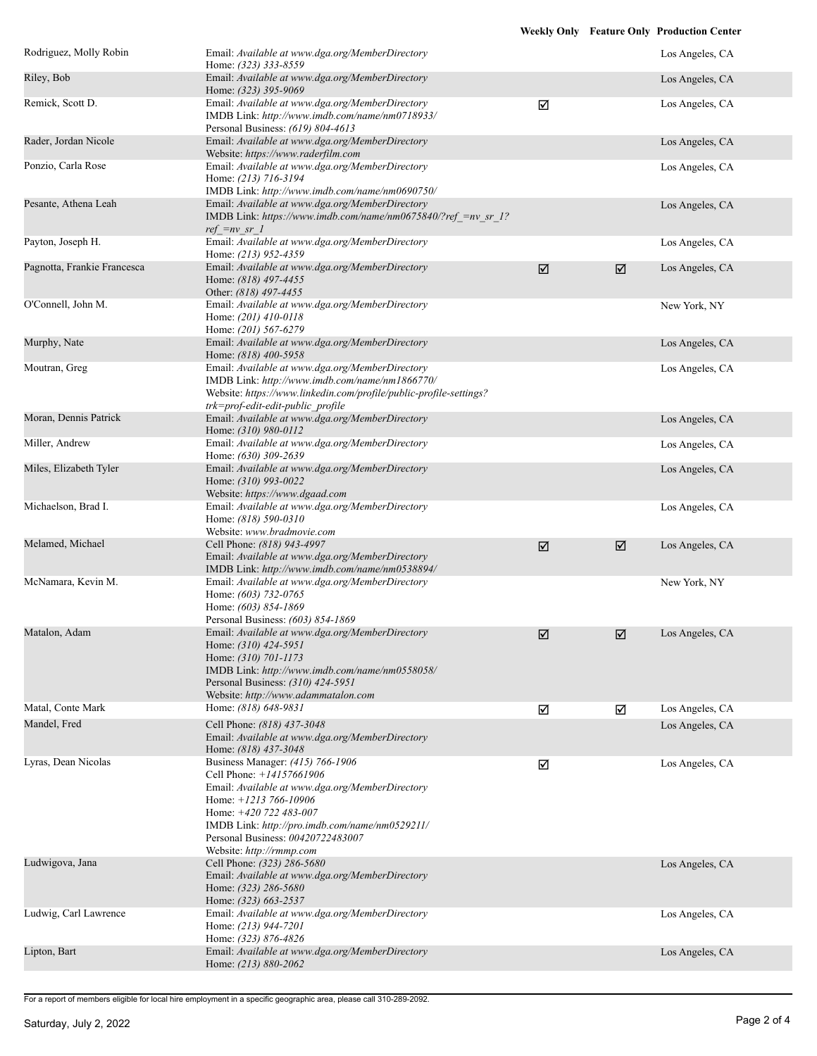|                             |                                                                                                                                                                                                                                                                                          |   |   | <b>Weekly Only Feature Only Production Center</b> |
|-----------------------------|------------------------------------------------------------------------------------------------------------------------------------------------------------------------------------------------------------------------------------------------------------------------------------------|---|---|---------------------------------------------------|
| Rodriguez, Molly Robin      | Email: Available at www.dga.org/MemberDirectory<br>Home: (323) 333-8559                                                                                                                                                                                                                  |   |   | Los Angeles, CA                                   |
| Riley, Bob                  | Email: Available at www.dga.org/MemberDirectory<br>Home: (323) 395-9069                                                                                                                                                                                                                  |   |   | Los Angeles, CA                                   |
| Remick, Scott D.            | Email: Available at www.dga.org/MemberDirectory<br>IMDB Link: http://www.imdb.com/name/nm0718933/<br>Personal Business: (619) 804-4613                                                                                                                                                   | ☑ |   | Los Angeles, CA                                   |
| Rader, Jordan Nicole        | Email: Available at www.dga.org/MemberDirectory<br>Website: https://www.raderfilm.com                                                                                                                                                                                                    |   |   | Los Angeles, CA                                   |
| Ponzio, Carla Rose          | Email: Available at www.dga.org/MemberDirectory<br>Home: (213) 716-3194<br>IMDB Link: http://www.imdb.com/name/nm0690750/                                                                                                                                                                |   |   | Los Angeles, CA                                   |
| Pesante, Athena Leah        | Email: Available at www.dga.org/MemberDirectory<br>IMDB Link: https://www.imdb.com/name/nm0675840/?ref =nv sr 1?<br>$ref = nv sr$ 1                                                                                                                                                      |   |   | Los Angeles, CA                                   |
| Payton, Joseph H.           | Email: Available at www.dga.org/MemberDirectory<br>Home: (213) 952-4359                                                                                                                                                                                                                  |   |   | Los Angeles, CA                                   |
| Pagnotta, Frankie Francesca | Email: Available at www.dga.org/MemberDirectory<br>Home: (818) 497-4455<br>Other: (818) 497-4455                                                                                                                                                                                         | ☑ | ☑ | Los Angeles, CA                                   |
| O'Connell, John M.          | Email: Available at www.dga.org/MemberDirectory<br>Home: (201) 410-0118<br>Home: (201) 567-6279                                                                                                                                                                                          |   |   | New York, NY                                      |
| Murphy, Nate                | Email: Available at www.dga.org/MemberDirectory<br>Home: (818) 400-5958                                                                                                                                                                                                                  |   |   | Los Angeles, CA                                   |
| Moutran, Greg               | Email: Available at www.dga.org/MemberDirectory<br>IMDB Link: http://www.imdb.com/name/nm1866770/<br>Website: https://www.linkedin.com/profile/public-profile-settings?<br>trk=prof-edit-edit-public profile                                                                             |   |   | Los Angeles, CA                                   |
| Moran, Dennis Patrick       | Email: Available at www.dga.org/MemberDirectory<br>Home: (310) 980-0112                                                                                                                                                                                                                  |   |   | Los Angeles, CA                                   |
| Miller, Andrew              | Email: Available at www.dga.org/MemberDirectory<br>Home: (630) 309-2639                                                                                                                                                                                                                  |   |   | Los Angeles, CA                                   |
| Miles, Elizabeth Tyler      | Email: Available at www.dga.org/MemberDirectory<br>Home: (310) 993-0022<br>Website: https://www.dgaad.com                                                                                                                                                                                |   |   | Los Angeles, CA                                   |
| Michaelson, Brad I.         | Email: Available at www.dga.org/MemberDirectory<br>Home: (818) 590-0310<br>Website: www.bradmovie.com                                                                                                                                                                                    |   |   | Los Angeles, CA                                   |
| Melamed, Michael            | Cell Phone: (818) 943-4997<br>Email: Available at www.dga.org/MemberDirectory<br>IMDB Link: http://www.imdb.com/name/nm0538894/                                                                                                                                                          | ☑ | ☑ | Los Angeles, CA                                   |
| McNamara, Kevin M.          | Email: Available at www.dga.org/MemberDirectory<br>Home: (603) 732-0765<br>Home: (603) 854-1869<br>Personal Business: (603) 854-1869                                                                                                                                                     |   |   | New York, NY                                      |
| Matalon, Adam               | Email: Available at www.dga.org/MemberDirectory<br>Home: (310) 424-5951<br>Home: (310) 701-1173<br>IMDB Link: http://www.imdb.com/name/nm0558058/<br>Personal Business: (310) 424-5951<br>Website: http://www.adammatalon.com                                                            | ☑ | ☑ | Los Angeles, CA                                   |
| Matal, Conte Mark           | Home: (818) 648-9831                                                                                                                                                                                                                                                                     | ☑ | ☑ | Los Angeles, CA                                   |
| Mandel, Fred                | Cell Phone: (818) 437-3048<br>Email: Available at www.dga.org/MemberDirectory<br>Home: (818) 437-3048                                                                                                                                                                                    |   |   | Los Angeles, CA                                   |
| Lyras, Dean Nicolas         | Business Manager: (415) 766-1906<br>Cell Phone: +14157661906<br>Email: Available at www.dga.org/MemberDirectory<br>Home: $+1213766-10906$<br>Home: $+420$ 722 483-007<br>IMDB Link: http://pro.imdb.com/name/nm0529211/<br>Personal Business: 00420722483007<br>Website: http://rmmp.com | ☑ |   | Los Angeles, CA                                   |
| Ludwigova, Jana             | Cell Phone: (323) 286-5680<br>Email: Available at www.dga.org/MemberDirectory<br>Home: (323) 286-5680<br>Home: (323) 663-2537                                                                                                                                                            |   |   | Los Angeles, CA                                   |
| Ludwig, Carl Lawrence       | Email: Available at www.dga.org/MemberDirectory<br>Home: (213) 944-7201<br>Home: (323) 876-4826                                                                                                                                                                                          |   |   | Los Angeles, CA                                   |
| Lipton, Bart                | Email: Available at www.dga.org/MemberDirectory<br>Home: (213) 880-2062                                                                                                                                                                                                                  |   |   | Los Angeles, CA                                   |

For a report of members eligible for local hire employment in a specific geographic area, please call 310-289-2092.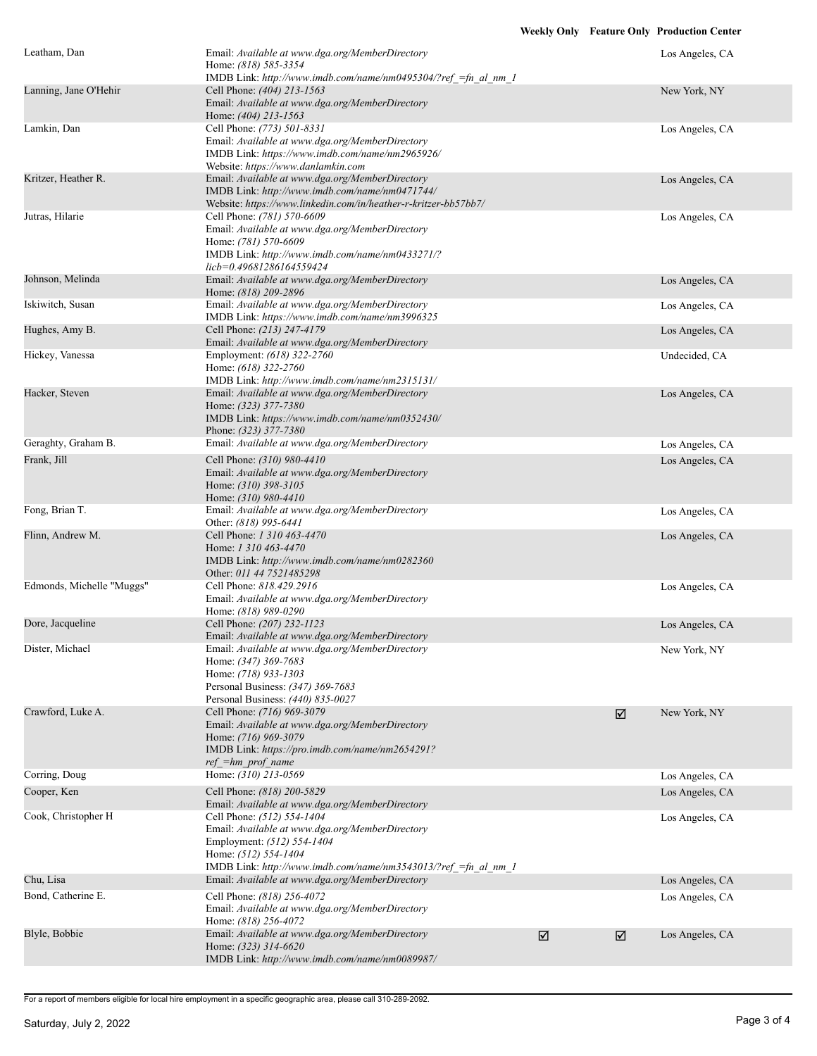| Leatham, Dan              | Email: Available at www.dga.org/MemberDirectory<br>Home: (818) 585-3354<br>IMDB Link: http://www.imdb.com/name/nm0495304/?ref =fn al nm 1                                                             |   |   | Los Angeles, CA |
|---------------------------|-------------------------------------------------------------------------------------------------------------------------------------------------------------------------------------------------------|---|---|-----------------|
| Lanning, Jane O'Hehir     | Cell Phone: (404) 213-1563<br>Email: Available at www.dga.org/MemberDirectory<br>Home: (404) 213-1563                                                                                                 |   |   | New York, NY    |
| Lamkin, Dan               | Cell Phone: (773) 501-8331<br>Email: Available at www.dga.org/MemberDirectory<br>IMDB Link: https://www.imdb.com/name/nm2965926/<br>Website: https://www.danlamkin.com                                |   |   | Los Angeles, CA |
| Kritzer, Heather R.       | Email: Available at www.dga.org/MemberDirectory<br>IMDB Link: http://www.imdb.com/name/nm0471744/<br>Website: https://www.linkedin.com/in/heather-r-kritzer-bb57bb7/                                  |   |   | Los Angeles, CA |
| Jutras, Hilarie           | Cell Phone: (781) 570-6609<br>Email: Available at www.dga.org/MemberDirectory<br>Home: (781) 570-6609<br>IMDB Link: http://www.imdb.com/name/nm0433271/?<br>licb=0.49681286164559424                  |   |   | Los Angeles, CA |
| Johnson, Melinda          | Email: Available at www.dga.org/MemberDirectory<br>Home: (818) 209-2896                                                                                                                               |   |   | Los Angeles, CA |
| Iskiwitch, Susan          | Email: Available at www.dga.org/MemberDirectory<br>IMDB Link: https://www.imdb.com/name/nm3996325                                                                                                     |   |   | Los Angeles, CA |
| Hughes, Amy B.            | Cell Phone: (213) 247-4179<br>Email: Available at www.dga.org/MemberDirectory                                                                                                                         |   |   | Los Angeles, CA |
| Hickey, Vanessa           | Employment: (618) 322-2760<br>Home: (618) 322-2760<br>IMDB Link: http://www.imdb.com/name/nm2315131/                                                                                                  |   |   | Undecided, CA   |
| Hacker, Steven            | Email: Available at www.dga.org/MemberDirectory<br>Home: (323) 377-7380<br>IMDB Link: https://www.imdb.com/name/nm0352430/<br>Phone: (323) 377-7380                                                   |   |   | Los Angeles, CA |
| Geraghty, Graham B.       | Email: Available at www.dga.org/MemberDirectory                                                                                                                                                       |   |   | Los Angeles, CA |
| Frank, Jill               | Cell Phone: (310) 980-4410<br>Email: Available at www.dga.org/MemberDirectory<br>Home: (310) 398-3105<br>Home: (310) 980-4410                                                                         |   |   | Los Angeles, CA |
| Fong, Brian T.            | Email: Available at www.dga.org/MemberDirectory<br>Other: (818) 995-6441                                                                                                                              |   |   | Los Angeles, CA |
| Flinn, Andrew M.          | Cell Phone: 1 310 463-4470<br>Home: 1 310 463-4470<br>IMDB Link: http://www.imdb.com/name/nm0282360<br>Other: 011 44 7521485298                                                                       |   |   | Los Angeles, CA |
| Edmonds, Michelle "Muggs" | Cell Phone: 818.429.2916<br>Email: Available at www.dga.org/MemberDirectory<br>Home: (818) 989-0290                                                                                                   |   |   | Los Angeles, CA |
| Dore, Jacqueline          | Cell Phone: (207) 232-1123<br>Email: Available at www.dga.org/MemberDirectory                                                                                                                         |   |   | Los Angeles, CA |
| Dister, Michael           | Email: Available at www.dga.org/MemberDirectory<br>Home: (347) 369-7683<br>Home: (718) 933-1303<br>Personal Business: (347) 369-7683<br>Personal Business: (440) 835-0027                             |   |   | New York, NY    |
| Crawford, Luke A.         | Cell Phone: (716) 969-3079<br>Email: Available at www.dga.org/MemberDirectory<br>Home: (716) 969-3079<br>IMDB Link: https://pro.imdb.com/name/nm2654291?<br>$ref = hm$ prof name                      |   | ☑ | New York, NY    |
| Corring, Doug             | Home: (310) 213-0569                                                                                                                                                                                  |   |   | Los Angeles, CA |
| Cooper, Ken               | Cell Phone: (818) 200-5829<br>Email: Available at www.dga.org/MemberDirectory                                                                                                                         |   |   | Los Angeles, CA |
| Cook, Christopher H       | Cell Phone: (512) 554-1404<br>Email: Available at www.dga.org/MemberDirectory<br>Employment: (512) 554-1404<br>Home: (512) 554-1404<br>IMDB Link: http://www.imdb.com/name/nm3543013/?ref =fn al nm 1 |   |   | Los Angeles, CA |
| Chu, Lisa                 | Email: Available at www.dga.org/MemberDirectory                                                                                                                                                       |   |   | Los Angeles, CA |
| Bond, Catherine E.        | Cell Phone: (818) 256-4072<br>Email: Available at www.dga.org/MemberDirectory<br>Home: (818) 256-4072                                                                                                 |   |   | Los Angeles, CA |
| Blyle, Bobbie             | Email: Available at www.dga.org/MemberDirectory<br>Home: (323) 314-6620<br>IMDB Link: http://www.imdb.com/name/nm0089987/                                                                             | ☑ | ☑ | Los Angeles, CA |

For a report of members eligible for local hire employment in a specific geographic area, please call 310-289-2092.